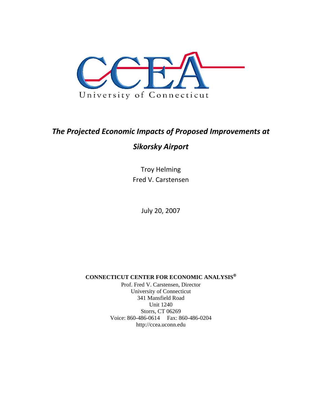

# *The Projected Economic Impacts of Proposed Improvements at*

## *Sikorsky Airport*

Troy Helming Fred V. Carstensen

July 20, 2007

**CONNECTICUT CENTER FOR ECONOMIC ANALYSIS**

Prof. Fred V. Carstensen, Director University of Connecticut 341 Mansfield Road Unit 1240 Storrs, CT 06269 Voice: 860-486-0614 Fax: 860-486-0204 http://ccea.uconn.edu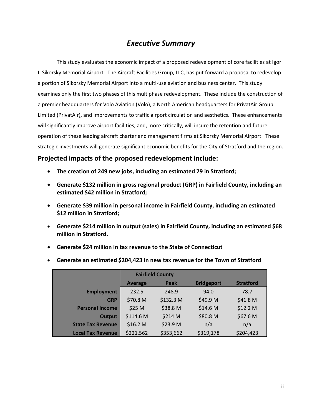## *Executive Summary*

This study evaluates the economic impact of a proposed redevelopment of core facilities at Igor I. Sikorsky Memorial Airport. The Aircraft Facilities Group, LLC, has put forward a proposal to redevelop a portion of Sikorsky Memorial Airport into a multi-use aviation and business center. This study examines only the first two phases of this multiphase redevelopment. These include the construction of a premier headquarters for Volo Aviation (Volo), a North American headquarters for PrivatAir Group Limited (PrivatAir), and improvements to traffic airport circulation and aesthetics. These enhancements will significantly improve airport facilities, and, more critically, will insure the retention and future operation of these leading aircraft charter and management firms at Sikorsky Memorial Airport. These strategic investments will generate significant economic benefits for the City of Stratford and the region.

### **Projected impacts of the proposed redevelopment include:**

- **The creation of 249 new jobs, including an estimated 79 in Stratford;**
- **Generate \$132 million in gross regional product (GRP) in Fairfield County, including an estimated \$42 million in Stratford;**
- **Generate \$39 million in personal income in Fairfield County, including an estimated \$12 million in Stratford;**
- **Generate \$214 million in output (sales) in Fairfield County, including an estimated \$68 million in Stratford.**
- **Generate \$24 million in tax revenue to the State of Connecticut**

|                          |                | <b>Fairfield County</b> |                   |                     |
|--------------------------|----------------|-------------------------|-------------------|---------------------|
|                          | <b>Average</b> | Peak                    | <b>Bridgeport</b> | <b>Stratford</b>    |
| <b>Employment</b>        | 232.5          | 248.9                   | 94.0              | 78.7                |
| <b>GRP</b>               | \$70.8 M       | \$132.3 M               | \$49.9 M          | \$41.8 <sub>M</sub> |
| <b>Personal Income</b>   | \$25 M         | \$38.8 M                | \$14.6 M          | \$12.2 <sub>M</sub> |
| <b>Output</b>            | \$114.6 M      | \$214 M                 | \$80.8 M          | \$67.6 M            |
| <b>State Tax Revenue</b> | \$16.2 M       | \$23.9 M                | n/a               | n/a                 |
| <b>Local Tax Revenue</b> | \$221,562      | \$353,662               | \$319,178         | \$204,423           |

• **Generate an estimated \$204,423 in new tax revenue for the Town of Stratford**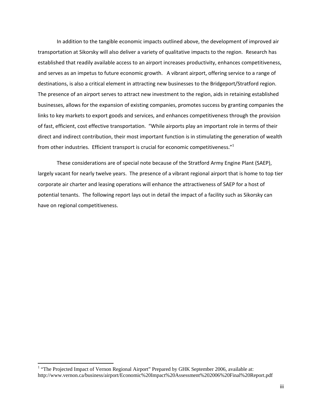In addition to the tangible economic impacts outlined above, the development of improved air transportation at Sikorsky will also deliver a variety of qualitative impacts to the region. Research has established that readily available access to an airport increases productivity, enhances competitiveness, and serves as an impetus to future economic growth. A vibrant airport, offering service to a range of destinations, is also a critical element in attracting new businesses to the Bridgeport/Stratford region. The presence of an airport serves to attract new investment to the region, aids in retaining established businesses, allows for the expansion of existing companies, promotes success by granting companies the links to key markets to export goods and services, and enhances competitiveness through the provision of fast, efficient, cost effective transportation. "While airports play an important role in terms of their direct and indirect contribution, their most important function is in stimulating the generation of wealth from other industries. Efficient transport is crucial for economic competitiveness."<sup>1</sup>

These considerations are of special note because of the Stratford Army Engine Plant (SAEP), largely vacant for nearly twelve years. The presence of a vibrant regional airport that is home to top tier corporate air charter and leasing operations will enhance the attractiveness of SAEP for a host of potential tenants. The following report lays out in detail the impact of a facility such as Sikorsky can have on regional competitiveness.

 $\overline{a}$ 

<sup>&</sup>lt;sup>1</sup> "The Projected Impact of Vernon Regional Airport" Prepared by GHK September 2006, available at: http://www.vernon.ca/business/airport/Economic%20Impact%20Assessment%202006%20Final%20Report.pdf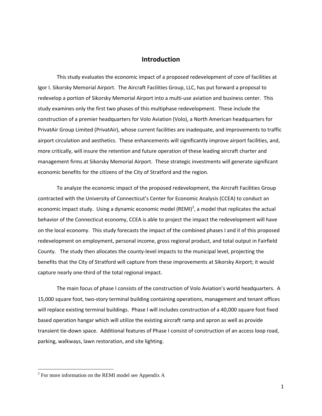#### **Introduction**

 This study evaluates the economic impact of a proposed redevelopment of core of facilities at Igor I. Sikorsky Memorial Airport. The Aircraft Facilities Group, LLC, has put forward a proposal to redevelop a portion of Sikorsky Memorial Airport into a multi-use aviation and business center. This study examines only the first two phases of this multiphase redevelopment. These include the construction of a premier headquarters for Volo Aviation (Volo), a North American headquarters for PrivatAir Group Limited (PrivatAir), whose current facilities are inadequate, and improvements to traffic airport circulation and aesthetics. These enhancements will significantly improve airport facilities, and, more critically, will insure the retention and future operation of these leading aircraft charter and management firms at Sikorsky Memorial Airport. These strategic investments will generate significant economic benefits for the citizens of the City of Stratford and the region.

 To analyze the economic impact of the proposed redevelopment, the Aircraft Facilities Group contracted with the University of Connecticut's Center for Economic Analysis (CCEA) to conduct an economic impact study. Using a dynamic economic model (REMI)<sup>2</sup>, a model that replicates the actual behavior of the Connecticut economy, CCEA is able to project the impact the redevelopment will have on the local economy. This study forecasts the impact of the combined phases I and II of this proposed redevelopment on employment, personal income, gross regional product, and total output in Fairfield County. The study then allocates the county-level impacts to the municipal level, projecting the benefits that the City of Stratford will capture from these improvements at Sikorsky Airport; it would capture nearly one-third of the total regional impact.

 The main focus of phase I consists of the construction of Volo Aviation's world headquarters. A 15,000 square foot, two-story terminal building containing operations, management and tenant offices will replace existing terminal buildings. Phase I will includes construction of a 40,000 square foot fixed based operation hangar which will utilize the existing aircraft ramp and apron as well as provide transient tie-down space. Additional features of Phase I consist of construction of an access loop road, parking, walkways, lawn restoration, and site lighting.

 $2^2$  For more information on the REMI model see Appendix A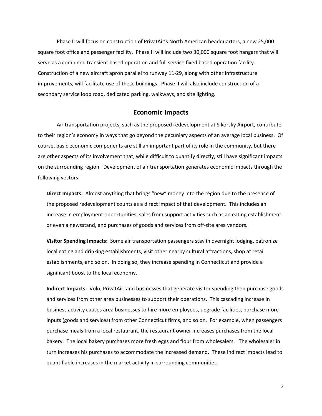Phase II will focus on construction of PrivatAir's North American headquarters, a new 25,000 square foot office and passenger facility. Phase II will include two 30,000 square foot hangars that will serve as a combined transient based operation and full service fixed based operation facility. Construction of a new aircraft apron parallel to runway 11-29, along with other infrastructure improvements, will facilitate use of these buildings. Phase II will also include construction of a secondary service loop road, dedicated parking, walkways, and site lighting.

#### **Economic Impacts**

Air transportation projects, such as the proposed redevelopment at Sikorsky Airport, contribute to their region's economy in ways that go beyond the pecuniary aspects of an average local business. Of course, basic economic components are still an important part of its role in the community, but there are other aspects of its involvement that, while difficult to quantify directly, still have significant impacts on the surrounding region. Development of air transportation generates economic impacts through the following vectors:

**Direct Impacts:** Almost anything that brings "new" money into the region due to the presence of the proposed redevelopment counts as a direct impact of that development. This includes an increase in employment opportunities, sales from support activities such as an eating establishment or even a newsstand, and purchases of goods and services from off-site area vendors.

**Visitor Spending Impacts:** Some air transportation passengers stay in overnight lodging, patronize local eating and drinking establishments, visit other nearby cultural attractions, shop at retail establishments, and so on. In doing so, they increase spending in Connecticut and provide a significant boost to the local economy.

**Indirect Impacts:** Volo, PrivatAir, and businesses that generate visitor spending then purchase goods and services from other area businesses to support their operations. This cascading increase in business activity causes area businesses to hire more employees, upgrade facilities, purchase more inputs (goods and services) from other Connecticut firms, and so on. For example, when passengers purchase meals from a local restaurant, the restaurant owner increases purchases from the local bakery. The local bakery purchases more fresh eggs and flour from wholesalers. The wholesaler in turn increases his purchases to accommodate the increased demand. These indirect impacts lead to quantifiable increases in the market activity in surrounding communities.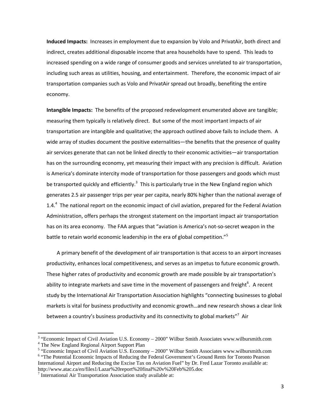**Induced Impacts:** Increases in employment due to expansion by Volo and PrivatAir, both direct and indirect, creates additional disposable income that area households have to spend. This leads to increased spending on a wide range of consumer goods and services unrelated to air transportation, including such areas as utilities, housing, and entertainment. Therefore, the economic impact of air transportation companies such as Volo and PrivatAir spread out broadly, benefiting the entire economy.

**Intangible Impacts:** The benefits of the proposed redevelopment enumerated above are tangible; measuring them typically is relatively direct. But some of the most important impacts of air transportation are intangible and qualitative; the approach outlined above fails to include them. A wide array of studies document the positive externalities—the benefits that the presence of quality air services generate that can not be linked directly to their economic activities—air transportation has on the surrounding economy, yet measuring their impact with any precision is difficult. Aviation is America's dominate intercity mode of transportation for those passengers and goods which must be transported quickly and efficiently.<sup>3</sup> This is particularly true in the New England region which generates 2.5 air passenger trips per year per capita, nearly 80% higher than the national average of 1.4.<sup>4</sup> The national report on the economic impact of civil aviation, prepared for the Federal Aviation Administration, offers perhaps the strongest statement on the important impact air transportation has on its area economy. The FAA argues that "aviation is America's not-so-secret weapon in the battle to retain world economic leadership in the era of global competition."<sup>5</sup>

A primary benefit of the development of air transportation is that access to an airport increases productivity, enhances local competitiveness, and serves as an impetus to future economic growth. These higher rates of productivity and economic growth are made possible by air transportation's ability to integrate markets and save time in the movement of passengers and freight<sup>6</sup>. A recent study by the International Air Transportation Association highlights "connecting businesses to global markets is vital for business productivity and economic growth…and new research shows a clear link between a country's business productivity and its connectivity to global markets"<sup>7</sup> Air

**.** 

 $3$  "Economic Impact of Civil Aviation U.S. Economy – 2000" Wilbur Smith Associates www.wilbursmith.com <sup>4</sup> The New England Regional Airport Support Plan

<sup>&</sup>lt;sup>5</sup> "Economic Impact of Civil Aviation U.S. Economy – 2000" Wilbur Smith Associates www.wilbursmith.com <sup>6</sup> "The Potential Economic Impacts of Reducing the Federal Government's Ground Rents for Toronto Pearson International Airport and Reducing the Excise Tax on Aviation Fuel" by Dr. Fred Lazar Toronto available at: http://www.atac.ca/en/files1/Lazar%20report%20final%20v%20Feb%205.doc 7

 $\frac{7}{1}$  International Air Transportation Association study available at: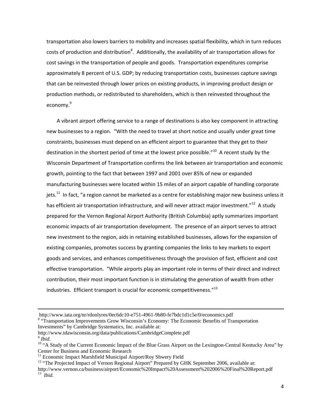transportation also lowers barriers to mobility and increases spatial flexibility, which in turn reduces costs of production and distribution<sup>8</sup>. Additionally, the availability of air transportation allows for cost savings in the transportation of people and goods. Transportation expenditures comprise approximately 8 percent of U.S. GDP; by reducing transportation costs, businesses capture savings that can be reinvested through lower prices on existing products, in improving product design or production methods, or redistributed to shareholders, which is then reinvested throughout the economy.<sup>9</sup>

A vibrant airport offering service to a range of destinations is also key component in attracting new businesses to a region. "With the need to travel at short notice and usually under great time constraints, businesses must depend on an efficient airport to guarantee that they get to their destination in the shortest period of time at the lowest price possible."<sup>10</sup> A recent study by the Wisconsin Department of Transportation confirms the link between air transportation and economic growth, pointing to the fact that between 1997 and 2001 over 85% of new or expanded manufacturing businesses were located within 15 miles of an airport capable of handling corporate jets.<sup>11</sup> In fact, "a region cannot be marketed as a centre for establishing major new business unless it has efficient air transportation infrastructure, and will never attract major investment."<sup>12</sup> A study prepared for the Vernon Regional Airport Authority (British Columbia) aptly summarizes important economic impacts of air transportation development. The presence of an airport serves to attract new investment to the region, aids in retaining established businesses, allows for the expansion of existing companies, promotes success by granting companies the links to key markets to export goods and services, and enhances competitiveness through the provision of fast, efficient and cost effective transportation. "While airports play an important role in terms of their direct and indirect contribution, their most important function is in stimulating the generation of wealth from other industries. Efficient transport is crucial for economic competitiveness."<sup>13</sup>

 $\overline{a}$ 

http://www.iata.org/nr/rdonlyres/0ec6dc10-e751-4961-9b80-fe7bdc1d1c5e/0/economics.pdf 8

<sup>&</sup>lt;sup>8</sup> "Transportation Improvements Grow Wisconsin's Economy: The Economic Benefits of Transportation Investments" by Cambridge Systematics, Inc. available at:

http://www.tdawisconsin.org/data/publications/CambridgeComplete.pdf

<sup>&</sup>lt;sup>9</sup> *Ibid.*<br><sup>10</sup> "A Study of the Current Economic Impact of the Blue Grass Airport on the Lexington-Central Kentucky Area" by Center for Business and Economic Research

<sup>&</sup>lt;sup>11</sup> Economic Impact Marshfield Municipal Airport/Roy Shwery Field

<sup>&</sup>lt;sup>12</sup> "The Projected Impact of Vernon Regional Airport" Prepared by GHK September 2006, available at:

http://www.vernon.ca/business/airport/Economic%20Impact%20Assessment%202006%20Final%20Report.pdf 13 *Ibid*.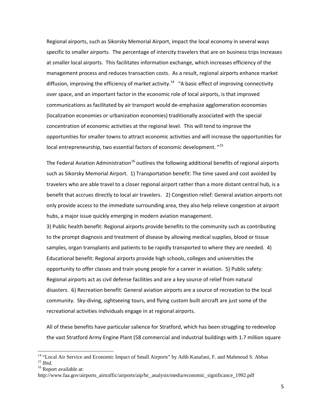Regional airports, such as Sikorsky Memorial Airport, impact the local economy in several ways specific to smaller airports. The percentage of intercity travelers that are on business trips increases at smaller local airports. This facilitates information exchange, which increases efficiency of the management process and reduces transaction costs. As a result, regional airports enhance market diffusion, improving the efficiency of market activity.<sup>14</sup> "A basic effect of improving connectivity over space, and an important factor in the economic role of local airports, is that improved communications as facilitated by air transport would de-emphasize agglomeration economies (localization economies or urbanization economies) traditionally associated with the special concentration of economic activities at the regional level. This will tend to improve the opportunities for smaller towns to attract economic activities and will increase the opportunities for local entrepreneurship, two essential factors of economic development. "15

The Federal Aviation Administration<sup>16</sup> outlines the following additional benefits of regional airports such as Sikorsky Memorial Airport. 1) Transportation benefit: The time saved and cost avoided by travelers who are able travel to a closer regional airport rather than a more distant central hub, is a benefit that accrues directly to local air travelers. 2) Congestion relief: General aviation airports not only provide access to the immediate surrounding area, they also help relieve congestion at airport hubs, a major issue quickly emerging in modern aviation management.

3) Public health benefit: Regional airports provide benefits to the community such as contributing to the prompt diagnosis and treatment of disease by allowing medical supplies, blood or tissue samples, organ transplants and patients to be rapidly transported to where they are needed. 4) Educational benefit: Regional airports provide high schools, colleges and universities the opportunity to offer classes and train young people for a career in aviation. 5) Public safety: Regional airports act as civil defense facilities and are a key source of relief from natural disasters. 6) Recreation benefit: General aviation airports are a source of recreation to the local community. Sky-diving, sightseeing tours, and flying custom built aircraft are just some of the recreational activities individuals engage in at regional airports.

All of these benefits have particular salience for Stratford, which has been struggling to redevelop the vast Stratford Army Engine Plant (58 commercial and industrial buildings with 1.7 million square

<sup>&</sup>lt;sup>14</sup> "Local Air Service and Economic Impact of Small Airports" by Adib Kanafani, F. and Mahmoud S. Abbas <sup>15</sup> *Ibid.* 

<sup>&</sup>lt;sup>16</sup> Report available at:

http://www.faa.gov/airports\_airtraffic/airports/aip/bc\_analysis/media/economic\_significance\_1992.pdf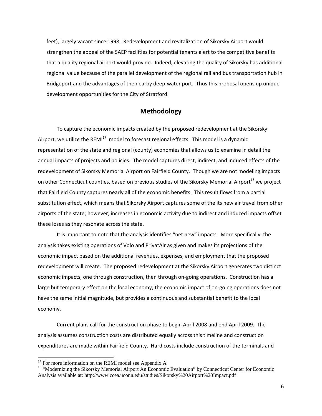feet), largely vacant since 1998. Redevelopment and revitalization of Sikorsky Airport would strengthen the appeal of the SAEP facilities for potential tenants alert to the competitive benefits that a quality regional airport would provide. Indeed, elevating the quality of Sikorsky has additional regional value because of the parallel development of the regional rail and bus transportation hub in Bridgeport and the advantages of the nearby deep-water port. Thus this proposal opens up unique development opportunities for the City of Stratford.

#### **Methodology**

To capture the economic impacts created by the proposed redevelopment at the Sikorsky Airport, we utilize the REMI $<sup>17</sup>$  model to forecast regional effects. This model is a dynamic</sup> representation of the state and regional (county) economies that allows us to examine in detail the annual impacts of projects and policies. The model captures direct, indirect, and induced effects of the redevelopment of Sikorsky Memorial Airport on Fairfield County. Though we are not modeling impacts on other Connecticut counties, based on previous studies of the Sikorsky Memorial Airport<sup>18</sup> we project that Fairfield County captures nearly all of the economic benefits. This result flows from a partial substitution effect, which means that Sikorsky Airport captures some of the its new air travel from other airports of the state; however, increases in economic activity due to indirect and induced impacts offset these loses as they resonate across the state.

It is important to note that the analysis identifies "net new" impacts. More specifically, the analysis takes existing operations of Volo and PrivatAir as given and makes its projections of the economic impact based on the additional revenues, expenses, and employment that the proposed redevelopment will create. The proposed redevelopment at the Sikorsky Airport generates two distinct economic impacts, one through construction, then through on-going operations. Construction has a large but temporary effect on the local economy; the economic impact of on-going operations does not have the same initial magnitude, but provides a continuous and substantial benefit to the local economy.

Current plans call for the construction phase to begin April 2008 and end April 2009. The analysis assumes construction costs are distributed equally across this timeline and construction expenditures are made within Fairfield County. Hard costs include construction of the terminals and

 $17$  For more information on the REMI model see Appendix A

<sup>&</sup>lt;sup>18</sup> "Modernizing the Sikorsky Memorial Airport An Economic Evaluation" by Connecticut Center for Economic Analysis available at: http://www.ccea.uconn.edu/studies/Sikorsky%20Airport%20Impact.pdf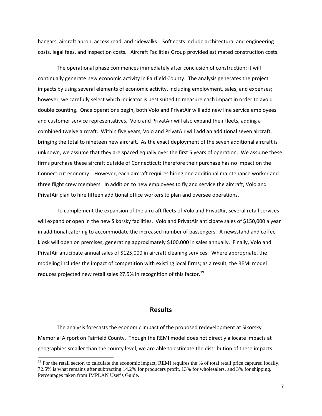hangars, aircraft apron, access road, and sidewalks. Soft costs include architectural and engineering costs, legal fees, and inspection costs. Aircraft Facilities Group provided estimated construction costs.

The operational phase commences immediately after conclusion of construction; it will continually generate new economic activity in Fairfield County. The analysis generates the project impacts by using several elements of economic activity, including employment, sales, and expenses; however, we carefully select which indicator is best suited to measure each impact in order to avoid double counting. Once operations begin, both Volo and PrivatAir will add new line service employees and customer service representatives. Volo and PrivatAir will also expand their fleets, adding a combined twelve aircraft. Within five years, Volo and PrivatAir will add an additional seven aircraft, bringing the total to nineteen new aircraft. As the exact deployment of the seven additional aircraft is unknown, we assume that they are spaced equally over the first 5 years of operation. We assume these firms purchase these aircraft outside of Connecticut; therefore their purchase has no impact on the Connecticut economy. However, each aircraft requires hiring one additional maintenance worker and three flight crew members. In addition to new employees to fly and service the aircraft, Volo and PrivatAir plan to hire fifteen additional office workers to plan and oversee operations.

To complement the expansion of the aircraft fleets of Volo and PrivatAir, several retail services will expand or open in the new Sikorsky facilities. Volo and PrivatAir anticipate sales of \$150,000 a year in additional catering to accommodate the increased number of passengers. A newsstand and coffee kiosk will open on premises, generating approximately \$100,000 in sales annually. Finally, Volo and PrivatAir anticipate annual sales of \$125,000 in aircraft cleaning services. Where appropriate, the modeling includes the impact of competition with existing local firms; as a result, the REMI model reduces projected new retail sales 27.5% in recognition of this factor.<sup>19</sup>

#### **Results**

 The analysis forecasts the economic impact of the proposed redevelopment at Sikorsky Memorial Airport on Fairfield County. Though the REMI model does not directly allocate impacts at geographies smaller than the county level, we are able to estimate the distribution of these impacts

<sup>&</sup>lt;sup>19</sup> For the retail sector, to calculate the economic impact, REMI requires the % of total retail price captured locally. 72.5% is what remains after subtracting 14.2% for producers profit, 13% for wholesalers, and 3% for shipping. Percentages taken from IMPLAN User's Guide.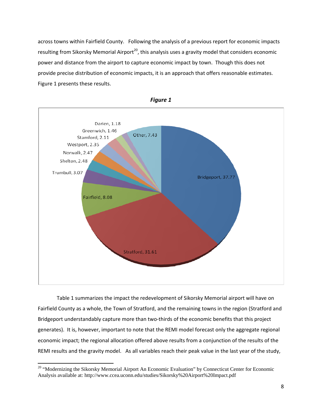across towns within Fairfield County. Following the analysis of a previous report for economic impacts resulting from Sikorsky Memorial Airport<sup>20</sup>, this analysis uses a gravity model that considers economic power and distance from the airport to capture economic impact by town. Though this does not provide precise distribution of economic impacts, it is an approach that offers reasonable estimates. Figure 1 presents these results.





Table 1 summarizes the impact the redevelopment of Sikorsky Memorial airport will have on Fairfield County as a whole, the Town of Stratford, and the remaining towns in the region (Stratford and Bridgeport understandably capture more than two-thirds of the economic benefits that this project generates). It is, however, important to note that the REMI model forecast only the aggregate regional economic impact; the regional allocation offered above results from a conjunction of the results of the REMI results and the gravity model. As all variables reach their peak value in the last year of the study,

 $\overline{a}$ 

<sup>&</sup>lt;sup>20</sup> "Modernizing the Sikorsky Memorial Airport An Economic Evaluation" by Connecticut Center for Economic Analysis available at: http://www.ccea.uconn.edu/studies/Sikorsky%20Airport%20Impact.pdf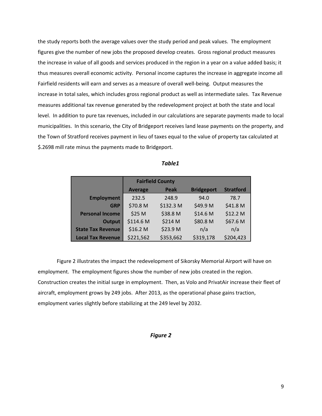the study reports both the average values over the study period and peak values. The employment figures give the number of new jobs the proposed develop creates. Gross regional product measures the increase in value of all goods and services produced in the region in a year on a value added basis; it thus measures overall economic activity. Personal income captures the increase in aggregate income all Fairfield residents will earn and serves as a measure of overall well-being. Output measures the increase in total sales, which includes gross regional product as well as intermediate sales. Tax Revenue measures additional tax revenue generated by the redevelopment project at both the state and local level. In addition to pure tax revenues, included in our calculations are separate payments made to local municipalities. In this scenario, the City of Bridgeport receives land lease payments on the property, and the Town of Stratford receives payment in lieu of taxes equal to the value of property tax calculated at \$.2698 mill rate minus the payments made to Bridgeport.

|                          |                | <b>Fairfield County</b> |                   |                  |
|--------------------------|----------------|-------------------------|-------------------|------------------|
|                          | <b>Average</b> | Peak                    | <b>Bridgeport</b> | <b>Stratford</b> |
| <b>Employment</b>        | 232.5          | 248.9                   | 94.0              | 78.7             |
| <b>GRP</b>               | \$70.8 M       | \$132.3 M               | \$49.9 M          | \$41.8 M         |
| <b>Personal Income</b>   | \$25 M         | \$38.8 M                | \$14.6 M          | \$12.2 M         |
| <b>Output</b>            | \$114.6 M      | \$214 M                 | \$80.8 M          | \$67.6 M         |
| <b>State Tax Revenue</b> | \$16.2 M       | \$23.9 M                | n/a               | n/a              |
| <b>Local Tax Revenue</b> | \$221,562      | \$353,662               | \$319,178         | \$204,423        |

*Table1* 

Figure 2 illustrates the impact the redevelopment of Sikorsky Memorial Airport will have on employment. The employment figures show the number of new jobs created in the region. Construction creates the initial surge in employment. Then, as Volo and PrivatAir increase their fleet of aircraft, employment grows by 249 jobs. After 2013, as the operational phase gains traction, employment varies slightly before stabilizing at the 249 level by 2032.

#### *Figure 2*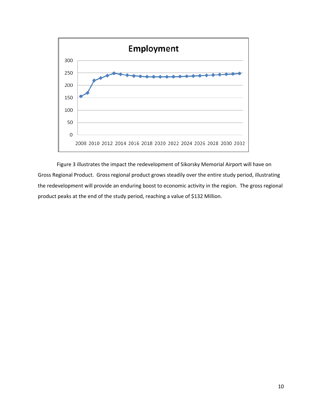

Figure 3 illustrates the impact the redevelopment of Sikorsky Memorial Airport will have on Gross Regional Product. Gross regional product grows steadily over the entire study period, illustrating the redevelopment will provide an enduring boost to economic activity in the region. The gross regional product peaks at the end of the study period, reaching a value of \$132 Million.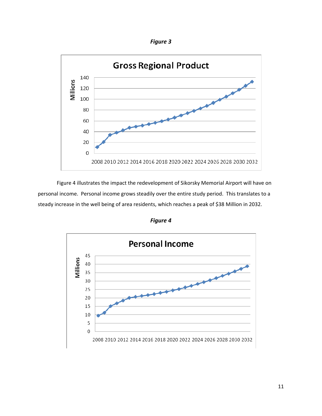*Figure 3* 



Figure 4 illustrates the impact the redevelopment of Sikorsky Memorial Airport will have on personal income. Personal income grows steadily over the entire study period. This translates to a steady increase in the well being of area residents, which reaches a peak of \$38 Million in 2032.

*Figure 4* 

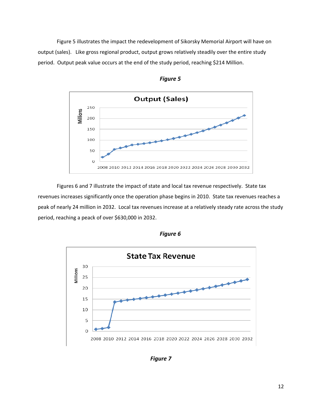Figure 5 illustrates the impact the redevelopment of Sikorsky Memorial Airport will have on output (sales). Like gross regional product, output grows relatively steadily over the entire study period. Output peak value occurs at the end of the study period, reaching \$214 Million.



*Figure 5* 

Figures 6 and 7 illustrate the impact of state and local tax revenue respectively. State tax revenues increases significantly once the operation phase begins in 2010. State tax revenues reaches a peak of nearly 24 million in 2032. Local tax revenues increase at a relatively steady rate across the study period, reaching a peack of over \$630,000 in 2032.



*Figure 6*

*Figure 7*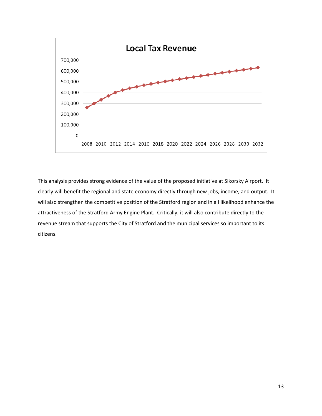

This analysis provides strong evidence of the value of the proposed initiative at Sikorsky Airport. It clearly will benefit the regional and state economy directly through new jobs, income, and output. It will also strengthen the competitive position of the Stratford region and in all likelihood enhance the attractiveness of the Stratford Army Engine Plant. Critically, it will also contribute directly to the revenue stream that supports the City of Stratford and the municipal services so important to its citizens.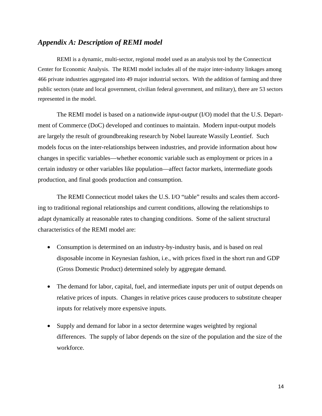### *Appendix A: Description of REMI model*

REMI is a dynamic, multi-sector, regional model used as an analysis tool by the Connecticut Center for Economic Analysis. The REMI model includes all of the major inter-industry linkages among 466 private industries aggregated into 49 major industrial sectors. With the addition of farming and three public sectors (state and local government, civilian federal government, and military), there are 53 sectors represented in the model.

The REMI model is based on a nationwide *input-output* (I/O) model that the U.S. Department of Commerce (DoC) developed and continues to maintain. Modern input-output models are largely the result of groundbreaking research by Nobel laureate Wassily Leontief. Such models focus on the inter-relationships between industries, and provide information about how changes in specific variables—whether economic variable such as employment or prices in a certain industry or other variables like population—affect factor markets, intermediate goods production, and final goods production and consumption.

The REMI Connecticut model takes the U.S. I/O "table" results and scales them according to traditional regional relationships and current conditions, allowing the relationships to adapt dynamically at reasonable rates to changing conditions. Some of the salient structural characteristics of the REMI model are:

- Consumption is determined on an industry-by-industry basis, and is based on real disposable income in Keynesian fashion, i.e., with prices fixed in the short run and GDP (Gross Domestic Product) determined solely by aggregate demand.
- The demand for labor, capital, fuel, and intermediate inputs per unit of output depends on relative prices of inputs. Changes in relative prices cause producers to substitute cheaper inputs for relatively more expensive inputs.
- Supply and demand for labor in a sector determine wages weighted by regional differences. The supply of labor depends on the size of the population and the size of the workforce.